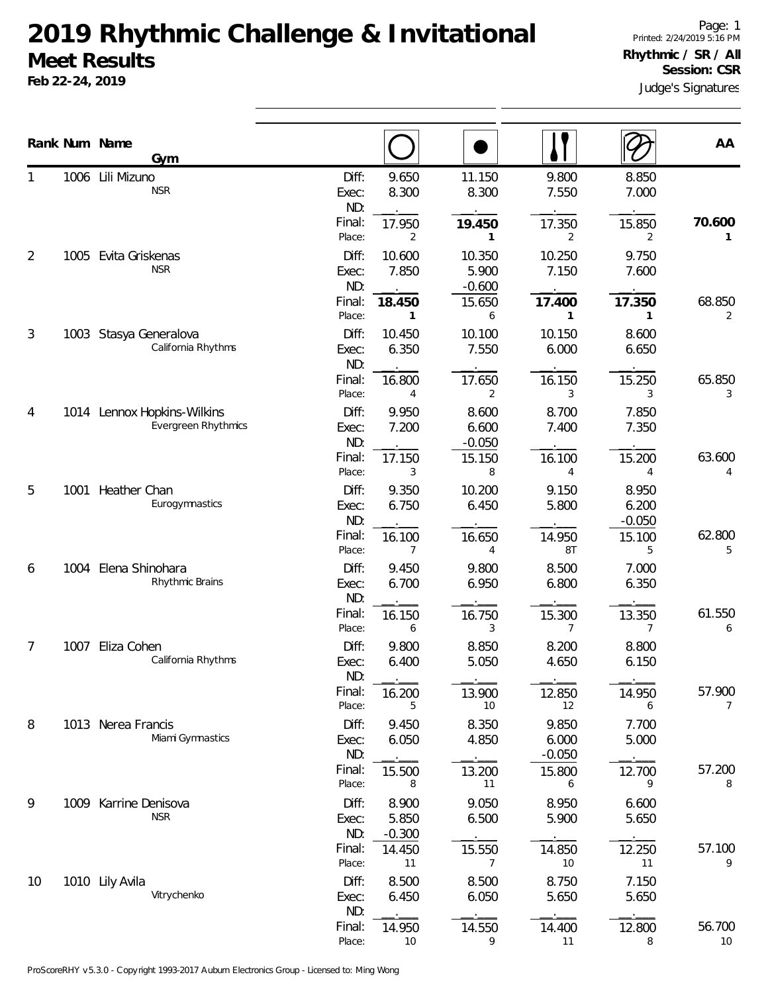## **2019 Rhythmic Challenge & Invitational Meet Results**

**Feb 22-24, 2019**

|    |      | Rank Num Name<br>Gym                                      |                       |                            |                             |                            |                            | AA                        |
|----|------|-----------------------------------------------------------|-----------------------|----------------------------|-----------------------------|----------------------------|----------------------------|---------------------------|
| 1  |      | 1006 Lili Mizuno<br><b>NSR</b>                            | Diff:<br>Exec:<br>ND: | 9.650<br>8.300             | 11.150<br>8.300             | 9.800<br>7.550             | 8.850<br>7.000             |                           |
|    |      |                                                           | Final:<br>Place:      | 17.950<br>2                | 19.450<br>1                 | 17.350<br>2                | 15.850<br>2                | 70.600<br>1               |
| 2  |      | 1005 Evita Griskenas<br><b>NSR</b>                        | Diff:<br>Exec:<br>ND: | 10.600<br>7.850            | 10.350<br>5.900<br>$-0.600$ | 10.250<br>7.150            | 9.750<br>7.600             |                           |
|    |      |                                                           | Final:<br>Place:      | 18.450<br>1                | 15.650<br>6                 | 17.400<br>1                | 17.350<br>1                | 68.850<br>$\overline{2}$  |
| 3  |      | 1003 Stasya Generalova<br>California Rhythms              | Diff:<br>Exec:<br>ND: | 10.450<br>6.350            | 10.100<br>7.550             | 10.150<br>6.000            | 8.600<br>6.650             |                           |
|    |      |                                                           | Final:<br>Place:      | 16.800<br>4                | 17.650<br>2                 | 16.150<br>3                | 15.250<br>3                | 65.850<br>3               |
| 4  |      | 1014 Lennox Hopkins-Wilkins<br><b>Evergreen Rhythmics</b> | Diff:<br>Exec:<br>ND: | 9.950<br>7.200             | 8.600<br>6.600<br>$-0.050$  | 8.700<br>7.400             | 7.850<br>7.350             |                           |
|    |      |                                                           | Final:<br>Place:      | 17.150<br>3                | 15.150<br>8                 | 16.100<br>4                | 15.200<br>4                | 63.600<br>4               |
| 5  |      | 1001 Heather Chan<br>Eurogymnastics                       | Diff:<br>Exec:<br>ND: | 9.350<br>6.750             | 10.200<br>6.450             | 9.150<br>5.800             | 8.950<br>6.200<br>$-0.050$ |                           |
|    |      |                                                           | Final:<br>Place:      | 16.100<br>7                | 16.650<br>4                 | 14.950<br>8Τ               | 15.100<br>5                | 62.800<br>5               |
| 6  | 1004 | Elena Shinohara<br>Rhythmic Brains                        | Diff:<br>Exec:<br>ND: | 9.450<br>6.700             | 9.800<br>6.950              | 8.500<br>6.800             | 7.000<br>6.350             |                           |
|    |      |                                                           | Final:<br>Place:      | 16.150<br>6                | 16.750<br>3                 | 15.300<br>7                | 13.350<br>7                | 61.550<br>6               |
| 7  | 1007 | Eliza Cohen<br>California Rhythms                         | Diff:<br>Exec:<br>ND: | 9.800<br>6.400             | 8.850<br>5.050              | 8.200<br>4.650             | 8.800<br>6.150             |                           |
|    |      |                                                           | Final:<br>Place:      | 16.200<br>5                | 13.900<br>10                | 12.850<br>12               | 14.950<br>6                | 57.900<br>$7\overline{ }$ |
| 8  |      | 1013 Nerea Francis<br>Miami Gymnastics                    | Diff:<br>Exec:<br>ND: | 9.450<br>6.050             | 8.350<br>4.850              | 9.850<br>6.000<br>$-0.050$ | 7.700<br>5.000             |                           |
|    |      |                                                           | Final:<br>Place:      | 15.500<br>8                | 13.200<br>11                | 15.800<br>6                | 12.700<br>9                | 57.200<br>8               |
| 9  |      | 1009 Karrine Denisova<br><b>NSR</b>                       | Diff:<br>Exec:<br>ND: | 8.900<br>5.850<br>$-0.300$ | 9.050<br>6.500              | 8.950<br>5.900             | 6.600<br>5.650             |                           |
|    |      |                                                           | Final:<br>Place:      | 14.450<br>11               | 15.550<br>7                 | 14.850<br>10               | 12.250<br>11               | 57.100<br>9               |
| 10 |      | 1010 Lily Avila<br>Vitrychenko                            | Diff:<br>Exec:<br>ND: | 8.500<br>6.450             | 8.500<br>6.050              | 8.750<br>5.650             | 7.150<br>5.650             |                           |
|    |      |                                                           | Final:<br>Place:      | 14.950<br>10               | 14.550<br>9                 | 14.400<br>11               | 12.800<br>8                | 56.700<br>10              |